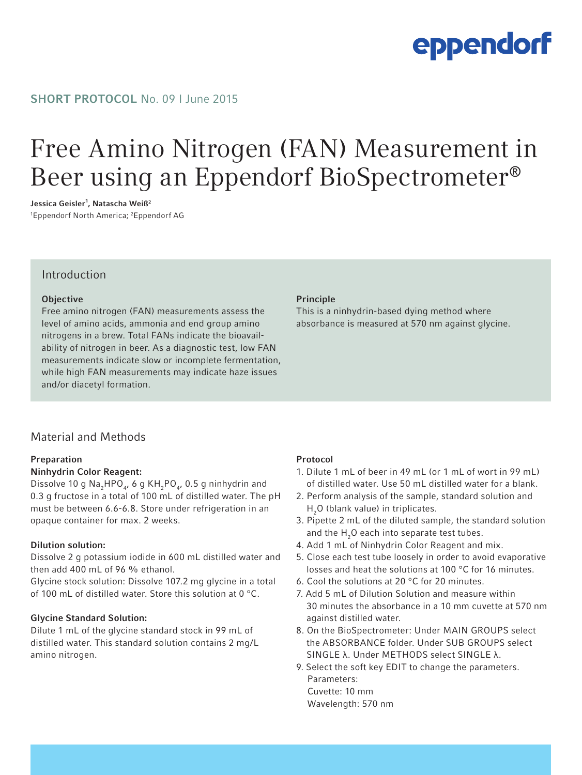# eppendorf

## SHORT PROTOCOL No. 09 | June 2015

# Free Amino Nitrogen (FAN) Measurement in Beer using an Eppendorf BioSpectrometer®

Jessica Geisler<sup>1</sup>, Natascha Weiß<sup>2</sup> 1 Eppendorf North America; 2 Eppendorf AG

### Introduction

#### **Objective**

Free amino nitrogen (FAN) measurements assess the level of amino acids, ammonia and end group amino nitrogens in a brew. Total FANs indicate the bioavailability of nitrogen in beer. As a diagnostic test, low FAN measurements indicate slow or incomplete fermentation, while high FAN measurements may indicate haze issues and/or diacetyl formation.

#### Principle

This is a ninhydrin-based dying method where absorbance is measured at 570 nm against glycine.

### Material and Methods

#### Preparation

#### Ninhydrin Color Reagent:

Dissolve 10 g Na<sub>2</sub>HPO<sub>4</sub>, 6 g KH<sub>2</sub>PO<sub>4</sub>, 0.5 g ninhydrin and 0.3 g fructose in a total of 100 mL of distilled water. The pH must be between 6.6-6.8. Store under refrigeration in an opaque container for max. 2 weeks.

#### Dilution solution:

Dissolve 2 g potassium iodide in 600 mL distilled water and then add 400 mL of 96 % ethanol.

Glycine stock solution: Dissolve 107.2 mg glycine in a total of 100 mL of distilled water. Store this solution at 0 °C.

#### Glycine Standard Solution:

Dilute 1 mL of the glycine standard stock in 99 mL of distilled water. This standard solution contains 2 mg/L amino nitrogen.

#### Protocol

- 1. Dilute 1 mL of beer in 49 mL (or 1 mL of wort in 99 mL) of distilled water. Use 50 mL distilled water for a blank.
- 2. Perform analysis of the sample, standard solution and H<sub>2</sub>O (blank value) in triplicates.
- 3. Pipette 2 mL of the diluted sample, the standard solution and the H<sub>2</sub>O each into separate test tubes.
- 4. Add 1 mL of Ninhydrin Color Reagent and mix.
- 5. Close each test tube loosely in order to avoid evaporative losses and heat the solutions at 100 °C for 16 minutes.
- 6. Cool the solutions at 20 °C for 20 minutes.
- 7. Add 5 mL of Dilution Solution and measure within 30 minutes the absorbance in a 10 mm cuvette at 570 nm against distilled water.
- 8. On the BioSpectrometer: Under MAIN GROUPS select the ABSORBANCE folder. Under SUB GROUPS select SINGLE λ. Under METHODS select SINGLE λ.
- 9. Select the soft key EDIT to change the parameters. Parameters: Cuvette: 10 mm Wavelength: 570 nm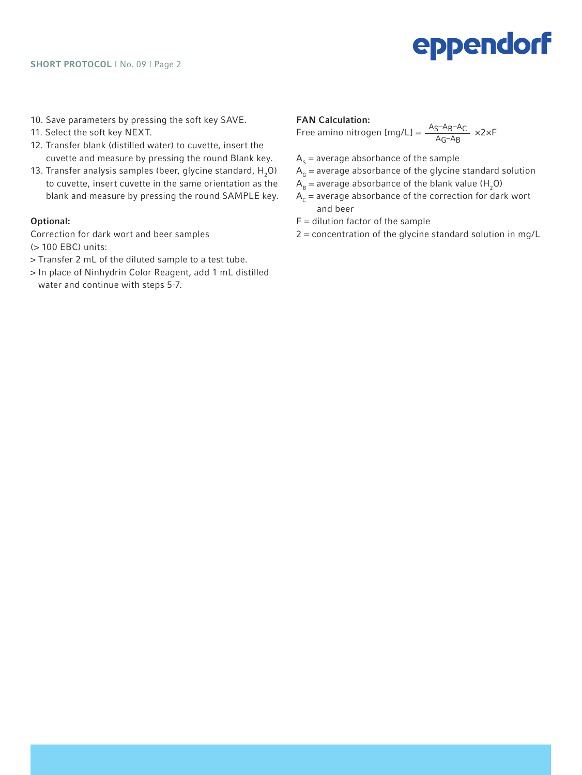

- 10. Save parameters by pressing the soft key SAVE.
- 11. Select the soft key NEXT.
- 12. Transfer blank (distilled water) to cuvette, insert the cuvette and measure by pressing the round Blank key.
- 13. Transfer analysis samples (beer, glycine standard,  $H<sub>2</sub>O$ ) to cuvette, insert cuvette in the same orientation as the blank and measure by pressing the round SAMPLE key.

#### Optional:

Correction for dark wort and beer samples (> 100 EBC) units:

- > Transfer 2 mL of the diluted sample to a test tube.
- > In place of Ninhydrin Color Reagent, add 1 mL distilled water and continue with steps 5-7.

#### FAN Calculation:

Free amino nitrogen [mg/L] =  $\frac{A_S-A_B-A_C}{A_A}$  ×2×F AG–AB

- $A_s$  = average absorbance of the sample
- $A<sub>G</sub>$  = average absorbance of the glycine standard solution
- $A_B$  = average absorbance of the blank value (H<sub>2</sub>O)
- $A_c$  = average absorbance of the correction for dark wort and beer
- $F =$  dilution factor of the sample
- $2 =$  concentration of the glycine standard solution in mg/L